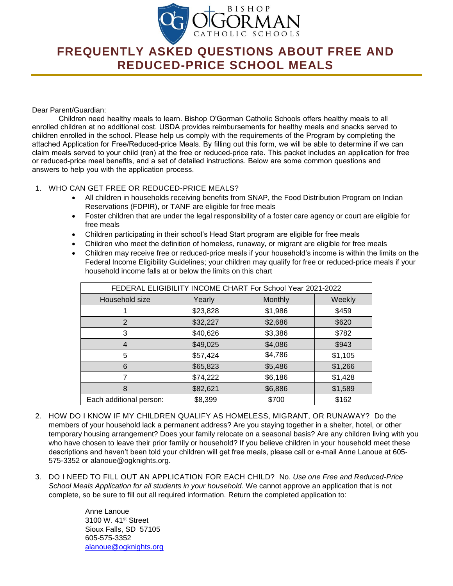

## **FREQUENTLY ASKED QUESTIONS ABOUT FREE AND REDUCED-PRICE SCHOOL MEALS**

## Dear Parent/Guardian:

Children need healthy meals to learn. Bishop O'Gorman Catholic Schools offers healthy meals to all enrolled children at no additional cost. USDA provides reimbursements for healthy meals and snacks served to children enrolled in the school. Please help us comply with the requirements of the Program by completing the attached Application for Free/Reduced-price Meals. By filling out this form, we will be able to determine if we can claim meals served to your child (ren) at the free or reduced-price rate. This packet includes an application for free or reduced-price meal benefits, and a set of detailed instructions. Below are some common questions and answers to help you with the application process.

## 1. WHO CAN GET FREE OR REDUCED-PRICE MEALS?

- All children in households receiving benefits from SNAP, the Food Distribution Program on Indian Reservations (FDPIR), or TANF are eligible for free meals
- Foster children that are under the legal responsibility of a foster care agency or court are eligible for free meals
- Children participating in their school's Head Start program are eligible for free meals
- Children who meet the definition of homeless, runaway, or migrant are eligible for free meals
- Children may receive free or reduced-price meals if your household's income is within the limits on the Federal Income Eligibility Guidelines; your children may qualify for free or reduced-price meals if your household income falls at or below the limits on this chart

| FEDERAL ELIGIBILITY INCOME CHART For School Year 2021-2022 |          |         |         |
|------------------------------------------------------------|----------|---------|---------|
| Household size                                             | Yearly   | Monthly | Weekly  |
|                                                            | \$23,828 | \$1,986 | \$459   |
| 2                                                          | \$32,227 | \$2,686 | \$620   |
| 3                                                          | \$40,626 | \$3,386 | \$782   |
|                                                            | \$49,025 | \$4,086 | \$943   |
| 5                                                          | \$57,424 | \$4,786 | \$1,105 |
| 6                                                          | \$65,823 | \$5,486 | \$1,266 |
|                                                            | \$74,222 | \$6,186 | \$1,428 |
| 8                                                          | \$82,621 | \$6,886 | \$1,589 |
| Each additional person:                                    | \$8,399  | \$700   | \$162   |

- 2. HOW DO I KNOW IF MY CHILDREN QUALIFY AS HOMELESS, MIGRANT, OR RUNAWAY? Do the members of your household lack a permanent address? Are you staying together in a shelter, hotel, or other temporary housing arrangement? Does your family relocate on a seasonal basis? Are any children living with you who have chosen to leave their prior family or household? If you believe children in your household meet these descriptions and haven't been told your children will get free meals, please call or e-mail Anne Lanoue at 605- 575-3352 or alanoue@ogknights.org.
- 3. DO I NEED TO FILL OUT AN APPLICATION FOR EACH CHILD? No. *Use one Free and Reduced-Price School Meals Application for all students in your household.* We cannot approve an application that is not complete, so be sure to fill out all required information. Return the completed application to:

Anne Lanoue 3100 W. 41st Street Sioux Falls, SD 57105 605-575-3352 [alanoue@ogknights.org](mailto:alanoue@ogknights.org)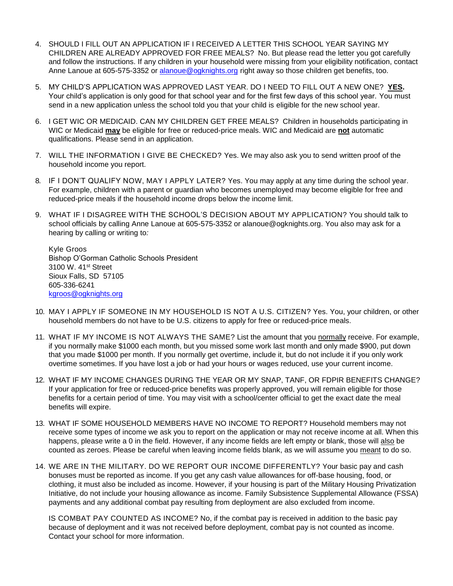- 4. SHOULD I FILL OUT AN APPLICATION IF I RECEIVED A LETTER THIS SCHOOL YEAR SAYING MY CHILDREN ARE ALREADY APPROVED FOR FREE MEALS? No. But please read the letter you got carefully and follow the instructions. If any children in your household were missing from your eligibility notification, contact Anne Lanoue at 605-575-3352 or [alanoue@ogknights.org](mailto:alanoue@ogknights.org) right away so those children get benefits, too.
- 5. MY CHILD'S APPLICATION WAS APPROVED LAST YEAR. DO I NEED TO FILL OUT A NEW ONE? **YES.** Your child's application is only good for that school year and for the first few days of this school year. You must send in a new application unless the school told you that your child is eligible for the new school year.
- 6. I GET WIC OR MEDICAID. CAN MY CHILDREN GET FREE MEALS? Children in households participating in WIC or Medicaid **may** be eligible for free or reduced-price meals. WIC and Medicaid are **not** automatic qualifications. Please send in an application.
- 7. WILL THE INFORMATION I GIVE BE CHECKED? Yes. We may also ask you to send written proof of the household income you report.
- 8. IF I DON'T QUALIFY NOW, MAY I APPLY LATER? Yes. You may apply at any time during the school year. For example, children with a parent or guardian who becomes unemployed may become eligible for free and reduced-price meals if the household income drops below the income limit.
- 9. WHAT IF I DISAGREE WITH THE SCHOOL'S DECISION ABOUT MY APPLICATION? You should talk to school officials by calling Anne Lanoue at 605-575-3352 or alanoue@ogknights.org. You also may ask for a hearing by calling or writing to*:*

Kyle Groos Bishop O'Gorman Catholic Schools President 3100 W. 41st Street Sioux Falls, SD 57105 605-336-6241 [kgroos@ogknights.org](mailto:kgroos@ogknights.org)

- 10. MAY I APPLY IF SOMEONE IN MY HOUSEHOLD IS NOT A U.S. CITIZEN? Yes. You, your children, or other household members do not have to be U.S. citizens to apply for free or reduced-price meals.
- 11. WHAT IF MY INCOME IS NOT ALWAYS THE SAME? List the amount that you normally receive. For example, if you normally make \$1000 each month, but you missed some work last month and only made \$900, put down that you made \$1000 per month. If you normally get overtime, include it, but do not include it if you only work overtime sometimes. If you have lost a job or had your hours or wages reduced, use your current income.
- 12. WHAT IF MY INCOME CHANGES DURING THE YEAR OR MY SNAP, TANF, OR FDPIR BENEFITS CHANGE? If your application for free or reduced-price benefits was properly approved, you will remain eligible for those benefits for a certain period of time. You may visit with a school/center official to get the exact date the meal benefits will expire.
- 13. WHAT IF SOME HOUSEHOLD MEMBERS HAVE NO INCOME TO REPORT? Household members may not receive some types of income we ask you to report on the application or may not receive income at all. When this happens, please write a 0 in the field. However, if any income fields are left empty or blank, those will also be counted as zeroes. Please be careful when leaving income fields blank, as we will assume you meant to do so.
- 14. WE ARE IN THE MILITARY. DO WE REPORT OUR INCOME DIFFERENTLY? Your basic pay and cash bonuses must be reported as income. If you get any cash value allowances for off-base housing, food, or clothing, it must also be included as income. However, if your housing is part of the Military Housing Privatization Initiative, do not include your housing allowance as income. Family Subsistence Supplemental Allowance (FSSA) payments and any additional combat pay resulting from deployment are also excluded from income.

IS COMBAT PAY COUNTED AS INCOME? No, if the combat pay is received in addition to the basic pay because of deployment and it was not received before deployment, combat pay is not counted as income. Contact your school for more information.